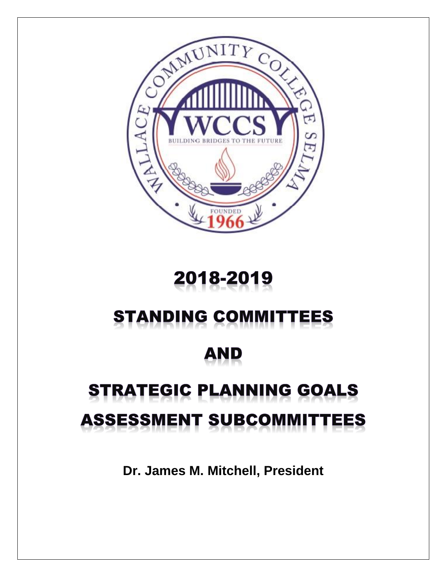

# 2018-2019

# **STANDING COMMITTEES**

# AND

# **STRATEGIC PLANNING GOALS ASSESSMENT SUBCOMMITTEES**

**Dr. James M. Mitchell, President**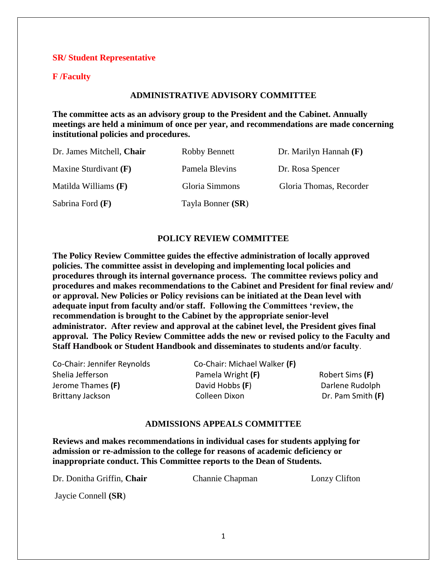#### **SR/ Student Representative**

# **F /Faculty**

#### **ADMINISTRATIVE ADVISORY COMMITTEE**

**The committee acts as an advisory group to the President and the Cabinet. Annually meetings are held a minimum of once per year, and recommendations are made concerning institutional policies and procedures.**

| Dr. James Mitchell, Chair | <b>Robby Bennett</b> | Dr. Marilyn Hannah $(F)$ |
|---------------------------|----------------------|--------------------------|
| Maxine Sturdivant $(F)$   | Pamela Blevins       | Dr. Rosa Spencer         |
| Matilda Williams $(F)$    | Gloria Simmons       | Gloria Thomas, Recorder  |
| Sabrina Ford $(F)$        | Tayla Bonner (SR)    |                          |

#### **POLICY REVIEW COMMITTEE**

**The Policy Review Committee guides the effective administration of locally approved policies. The committee assist in developing and implementing local policies and procedures through its internal governance process. The committee reviews policy and procedures and makes recommendations to the Cabinet and President for final review and/ or approval. New Policies or Policy revisions can be initiated at the Dean level with adequate input from faculty and/or staff. Following the Committees 'review, the recommendation is brought to the Cabinet by the appropriate senior-level administrator. After review and approval at the cabinet level, the President gives final approval. The Policy Review Committee adds the new or revised policy to the Faculty and Staff Handbook or Student Handbook and disseminates to students and/or faculty**.

Co-Chair: Jennifer Reynolds Co-Chair: Michael Walker **(F)** Shelia Jefferson Pamela Wright **(F)** Robert Sims **(F)** Jerome Thames **(F)** David Hobbs **(F**) Darlene Rudolph Brittany Jackson Colleen Dixon Dr. Pam Smith **(F)**

#### **ADMISSIONS APPEALS COMMITTEE**

**Reviews and makes recommendations in individual cases for students applying for admission or re-admission to the college for reasons of academic deficiency or inappropriate conduct. This Committee reports to the Dean of Students.**

Dr. Donitha Griffin, **Chair** Channie Chapman Lonzy Clifton

Jaycie Connell **(SR**)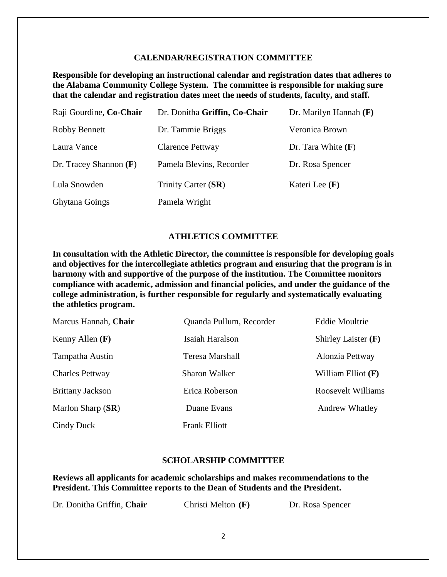#### **CALENDAR/REGISTRATION COMMITTEE**

**Responsible for developing an instructional calendar and registration dates that adheres to the Alabama Community College System. The committee is responsible for making sure that the calendar and registration dates meet the needs of students, faculty, and staff.** 

| Raji Gourdine, Co-Chair  | Dr. Donitha Griffin, Co-Chair | Dr. Marilyn Hannah $(F)$ |
|--------------------------|-------------------------------|--------------------------|
| <b>Robby Bennett</b>     | Dr. Tammie Briggs             | Veronica Brown           |
| Laura Vance              | Clarence Pettway              | Dr. Tara White $(F)$     |
| Dr. Tracey Shannon $(F)$ | Pamela Blevins, Recorder      | Dr. Rosa Spencer         |
| Lula Snowden             | Trinity Carter (SR)           | Kateri Lee (F)           |
| <b>Ghytana Goings</b>    | Pamela Wright                 |                          |

#### **ATHLETICS COMMITTEE**

**In consultation with the Athletic Director, the committee is responsible for developing goals and objectives for the intercollegiate athletics program and ensuring that the program is in harmony with and supportive of the purpose of the institution. The Committee monitors compliance with academic, admission and financial policies, and under the guidance of the college administration, is further responsible for regularly and systematically evaluating the athletics program.** 

| Marcus Hannah, Chair    | Quanda Pullum, Recorder | <b>Eddie Moultrie</b>     |
|-------------------------|-------------------------|---------------------------|
| Kenny Allen $(F)$       | Isaiah Haralson         | Shirley Laister $(F)$     |
| Tampatha Austin         | Teresa Marshall         | Alonzia Pettway           |
| <b>Charles Pettway</b>  | Sharon Walker           | William Elliot $(F)$      |
| <b>Brittany Jackson</b> | Erica Roberson          | <b>Roosevelt Williams</b> |
| Marlon Sharp (SR)       | Duane Evans             | <b>Andrew Whatley</b>     |
| Cindy Duck              | <b>Frank Elliott</b>    |                           |

# **SCHOLARSHIP COMMITTEE**

**Reviews all applicants for academic scholarships and makes recommendations to the President. This Committee reports to the Dean of Students and the President.**

Dr. Donitha Griffin, **Chair** Christi Melton **(F)** Dr. Rosa Spencer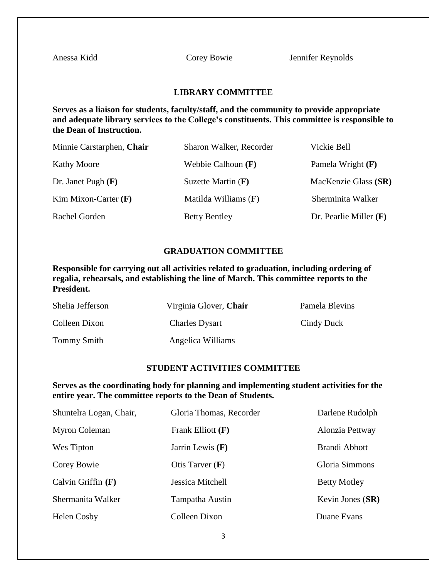Anessa Kidd Corey Bowie Jennifer Reynolds

### **LIBRARY COMMITTEE**

**Serves as a liaison for students, faculty/staff, and the community to provide appropriate and adequate library services to the College's constituents. This committee is responsible to the Dean of Instruction.**

| Minnie Carstarphen, Chair | Sharon Walker, Recorder | Vickie Bell              |
|---------------------------|-------------------------|--------------------------|
| <b>Kathy Moore</b>        | Webbie Calhoun $(F)$    | Pamela Wright $(F)$      |
| Dr. Janet Pugh $(F)$      | Suzette Martin $(F)$    | MacKenzie Glass (SR)     |
| Kim Mixon-Carter $(F)$    | Matilda Williams $(F)$  | Sherminita Walker        |
| Rachel Gorden             | <b>Betty Bentley</b>    | Dr. Pearlie Miller $(F)$ |

# **GRADUATION COMMITTEE**

**Responsible for carrying out all activities related to graduation, including ordering of regalia, rehearsals, and establishing the line of March. This committee reports to the President.**

| Shelia Jefferson   | Virginia Glover, Chair | Pamela Blevins |
|--------------------|------------------------|----------------|
| Colleen Dixon      | <b>Charles Dysart</b>  | Cindy Duck     |
| <b>Tommy Smith</b> | Angelica Williams      |                |

#### **STUDENT ACTIVITIES COMMITTEE**

**Serves as the coordinating body for planning and implementing student activities for the entire year. The committee reports to the Dean of Students.** 

| Shuntelra Logan, Chair, | Gloria Thomas, Recorder | Darlene Rudolph     |
|-------------------------|-------------------------|---------------------|
| Myron Coleman           | Frank Elliott (F)       | Alonzia Pettway     |
| Wes Tipton              | Jarrin Lewis $(F)$      | Brandi Abbott       |
| Corey Bowie             | Otis Tarver $(F)$       | Gloria Simmons      |
| Calvin Griffin $(F)$    | Jessica Mitchell        | <b>Betty Motley</b> |
| Shermanita Walker       | Tampatha Austin         | Kevin Jones (SR)    |
| Helen Cosby             | Colleen Dixon           | Duane Evans         |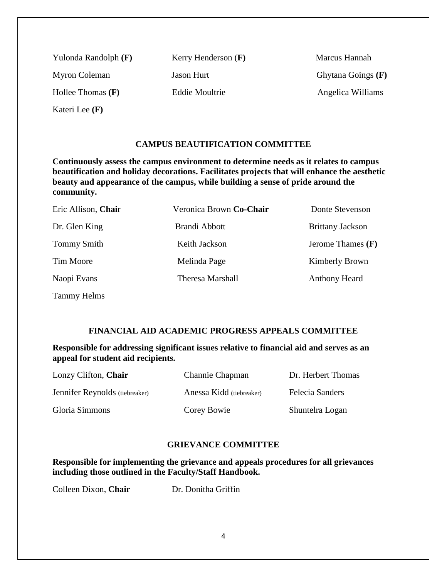Myron Coleman Jason Hurt Ghytana Goings **(F)** Hollee Thomas **(F)** Eddie Moultrie Angelica Williams

Kateri Lee **(F)**

Yulonda Randolph **(F)** Kerry Henderson **(F)** Marcus Hannah

# **CAMPUS BEAUTIFICATION COMMITTEE**

**Continuously assess the campus environment to determine needs as it relates to campus beautification and holiday decorations. Facilitates projects that will enhance the aesthetic beauty and appearance of the campus, while building a sense of pride around the community.**

| Eric Allison, Chair | Veronica Brown Co-Chair | Donte Stevenson         |
|---------------------|-------------------------|-------------------------|
| Dr. Glen King       | Brandi Abbott           | <b>Brittany Jackson</b> |
| <b>Tommy Smith</b>  | Keith Jackson           | Jerome Thames $(F)$     |
| Tim Moore           | Melinda Page            | Kimberly Brown          |
| Naopi Evans         | <b>Theresa Marshall</b> | <b>Anthony Heard</b>    |
| Tammy Helms         |                         |                         |

# **FINANCIAL AID ACADEMIC PROGRESS APPEALS COMMITTEE**

**Responsible for addressing significant issues relative to financial aid and serves as an appeal for student aid recipients.**

| Lonzy Clifton, Chair           | <b>Channie Chapman</b>   | Dr. Herbert Thomas |
|--------------------------------|--------------------------|--------------------|
| Jennifer Reynolds (tiebreaker) | Anessa Kidd (tiebreaker) | Felecia Sanders    |
| Gloria Simmons                 | Corey Bowie              | Shuntelra Logan    |

# **GRIEVANCE COMMITTEE**

**Responsible for implementing the grievance and appeals procedures for all grievances including those outlined in the Faculty/Staff Handbook.**

Colleen Dixon, **Chair** Dr. Donitha Griffin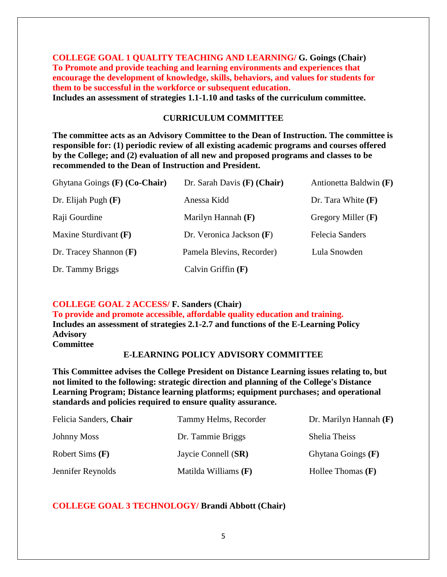**COLLEGE GOAL 1 QUALITY TEACHING AND LEARNING/ G. Goings (Chair) To Promote and provide teaching and learning environments and experiences that encourage the development of knowledge, skills, behaviors, and values for students for them to be successful in the workforce or subsequent education. Includes an assessment of strategies 1.1-1.10 and tasks of the curriculum committee.** 

#### **CURRICULUM COMMITTEE**

**The committee acts as an Advisory Committee to the Dean of Instruction. The committee is responsible for: (1) periodic review of all existing academic programs and courses offered by the College; and (2) evaluation of all new and proposed programs and classes to be recommended to the Dean of Instruction and President.**

| Ghytana Goings (F) (Co-Chair) | Dr. Sarah Davis $(F)$ (Chair) | Antionetta Baldwin (F) |
|-------------------------------|-------------------------------|------------------------|
| Dr. Elijah Pugh $(F)$         | Anessa Kidd                   | Dr. Tara White $(F)$   |
| Raji Gourdine                 | Marilyn Hannah $(F)$          | Gregory Miller $(F)$   |
| Maxine Sturdivant $(F)$       | Dr. Veronica Jackson $(F)$    | Felecia Sanders        |
| Dr. Tracey Shannon $(F)$      | Pamela Blevins, Recorder)     | Lula Snowden           |
| Dr. Tammy Briggs              | Calvin Griffin $(F)$          |                        |

# **COLLEGE GOAL 2 ACCESS/ F. Sanders (Chair)**

**To provide and promote accessible, affordable quality education and training. Includes an assessment of strategies 2.1-2.7 and functions of the E-Learning Policy Advisory Committee**

# **E-LEARNING POLICY ADVISORY COMMITTEE**

**This Committee advises the College President on Distance Learning issues relating to, but not limited to the following: strategic direction and planning of the College's Distance Learning Program; Distance learning platforms; equipment purchases; and operational standards and policies required to ensure quality assurance.**

| Felicia Sanders, Chair | Tammy Helms, Recorder | Dr. Marilyn Hannah (F) |
|------------------------|-----------------------|------------------------|
| <b>Johnny Moss</b>     | Dr. Tammie Briggs     | Shelia Theiss          |
| Robert Sims $(F)$      | Jaycie Connell (SR)   | Ghytana Goings $(F)$   |
| Jennifer Reynolds      | Matilda Williams (F)  | Hollee Thomas $(F)$    |

# **COLLEGE GOAL 3 TECHNOLOGY/ Brandi Abbott (Chair)**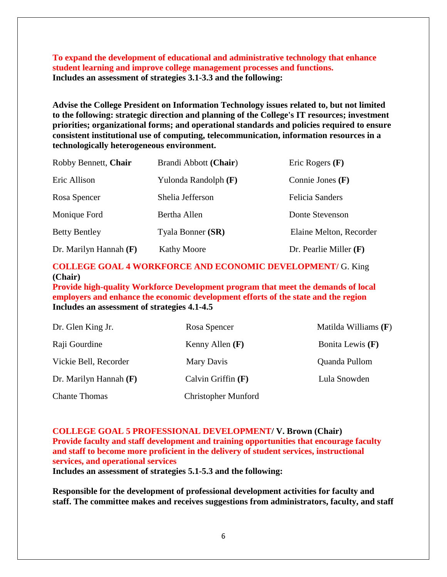**To expand the development of educational and administrative technology that enhance student learning and improve college management processes and functions. Includes an assessment of strategies 3.1-3.3 and the following:**

**Advise the College President on Information Technology issues related to, but not limited to the following: strategic direction and planning of the College's IT resources; investment priorities; organizational forms; and operational standards and policies required to ensure consistent institutional use of computing, telecommunication, information resources in a technologically heterogeneous environment.**

| Robby Bennett, Chair     | Brandi Abbott (Chair) | Eric Rogers $(F)$        |
|--------------------------|-----------------------|--------------------------|
| Eric Allison             | Yulonda Randolph (F)  | Connie Jones $(F)$       |
| Rosa Spencer             | Shelia Jefferson      | <b>Felicia Sanders</b>   |
| Monique Ford             | Bertha Allen          | Donte Stevenson          |
| <b>Betty Bentley</b>     | Tyala Bonner (SR)     | Elaine Melton, Recorder  |
| Dr. Marilyn Hannah $(F)$ | <b>Kathy Moore</b>    | Dr. Pearlie Miller $(F)$ |

# **COLLEGE GOAL 4 WORKFORCE AND ECONOMIC DEVELOPMENT/** G. King **(Chair)**

**Provide high-quality Workforce Development program that meet the demands of local employers and enhance the economic development efforts of the state and the region Includes an assessment of strategies 4.1-4.5**

| Dr. Glen King Jr.        | Rosa Spencer               | Matilda Williams $(F)$ |
|--------------------------|----------------------------|------------------------|
| Raji Gourdine            | Kenny Allen $(F)$          | Bonita Lewis $(F)$     |
| Vickie Bell, Recorder    | Mary Davis                 | Quanda Pullom          |
| Dr. Marilyn Hannah $(F)$ | Calvin Griffin $(F)$       | Lula Snowden           |
| <b>Chante Thomas</b>     | <b>Christopher Munford</b> |                        |

**COLLEGE GOAL 5 PROFESSIONAL DEVELOPMENT/ V. Brown (Chair) Provide faculty and staff development and training opportunities that encourage faculty and staff to become more proficient in the delivery of student services, instructional services, and operational services**

**Includes an assessment of strategies 5.1-5.3 and the following:**

**Responsible for the development of professional development activities for faculty and staff. The committee makes and receives suggestions from administrators, faculty, and staff**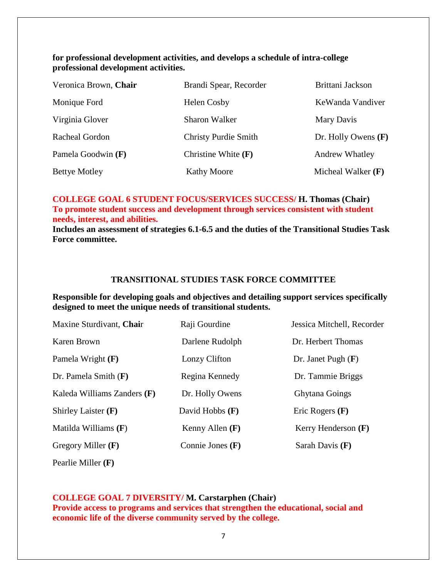# **for professional development activities, and develops a schedule of intra-college professional development activities.**

| Veronica Brown, Chair | Brandi Spear, Recorder      | Brittani Jackson      |
|-----------------------|-----------------------------|-----------------------|
| Monique Ford          | <b>Helen Cosby</b>          | KeWanda Vandiver      |
| Virginia Glover       | <b>Sharon Walker</b>        | Mary Davis            |
| Racheal Gordon        | <b>Christy Purdie Smith</b> | Dr. Holly Owens $(F)$ |
| Pamela Goodwin (F)    | Christine White $(F)$       | <b>Andrew Whatley</b> |
| <b>Bettye Motley</b>  | <b>Kathy Moore</b>          | Micheal Walker $(F)$  |

# **COLLEGE GOAL 6 STUDENT FOCUS/SERVICES SUCCESS/ H. Thomas (Chair) To promote student success and development through services consistent with student needs, interest, and abilities.**

**Includes an assessment of strategies 6.1-6.5 and the duties of the Transitional Studies Task Force committee.** 

#### **TRANSITIONAL STUDIES TASK FORCE COMMITTEE**

**Responsible for developing goals and objectives and detailing support services specifically designed to meet the unique needs of transitional students.**

| Maxine Sturdivant, Chair    | Raji Gourdine      | Jessica Mitchell, Recorder |
|-----------------------------|--------------------|----------------------------|
| Karen Brown                 | Darlene Rudolph    | Dr. Herbert Thomas         |
| Pamela Wright $(F)$         | Lonzy Clifton      | Dr. Janet Pugh $(F)$       |
| Dr. Pamela Smith $(F)$      | Regina Kennedy     | Dr. Tammie Briggs          |
| Kaleda Williams Zanders (F) | Dr. Holly Owens    | <b>Ghytana Goings</b>      |
| Shirley Laister $(F)$       | David Hobbs $(F)$  | Eric Rogers $(F)$          |
| Matilda Williams $(F)$      | Kenny Allen $(F)$  | Kerry Henderson $(F)$      |
| Gregory Miller $(F)$        | Connie Jones $(F)$ | Sarah Davis $(F)$          |

Pearlie Miller **(F)**

# **COLLEGE GOAL 7 DIVERSITY/ M. Carstarphen (Chair)**

**Provide access to programs and services that strengthen the educational, social and economic life of the diverse community served by the college.**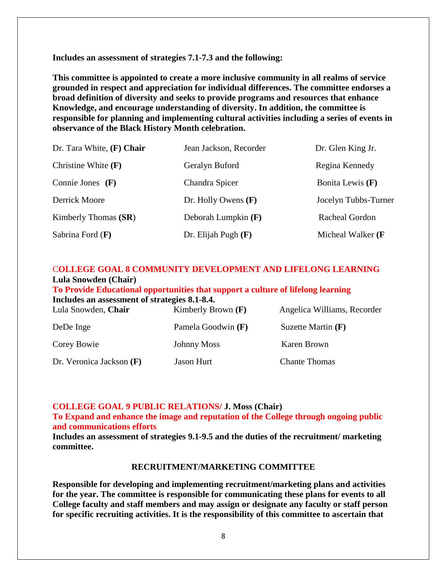**Includes an assessment of strategies 7.1-7.3 and the following:**

**This committee is appointed to create a more inclusive community in all realms of service grounded in respect and appreciation for individual differences. The committee endorses a [broad definition of diversity](http://www.lib.utk.edu/diversity/diversity_definition.html) and seeks to provide programs and resources that enhance Knowledge, and encourage understanding of diversity. In addition, the committee is responsible for planning and implementing cultural activities including a series of events in observance of the Black History Month celebration.**

| Dr. Tara White, (F) Chair | Jean Jackson, Recorder | Dr. Glen King Jr.    |
|---------------------------|------------------------|----------------------|
| Christine White $(F)$     | Geralyn Buford         | Regina Kennedy       |
| Connie Jones $(F)$        | Chandra Spicer         | Bonita Lewis (F)     |
| Derrick Moore             | Dr. Holly Owens $(F)$  | Jocelyn Tubbs-Turner |
| Kimberly Thomas (SR)      | Deborah Lumpkin (F)    | Racheal Gordon       |
| Sabrina Ford $(F)$        | Dr. Elijah Pugh $(F)$  | Micheal Walker (F    |

# C**OLLEGE GOAL 8 COMMUNITY DEVELOPMENT AND LIFELONG LEARNING Lula Snowden (Chair)**

**To Provide Educational opportunities that support a culture of lifelong learning**

|  | Includes an assessment of strategies 8.1-8.4. |  |  |
|--|-----------------------------------------------|--|--|
|--|-----------------------------------------------|--|--|

| Lula Snowden, Chair        | Kimberly Brown $(F)$ | Angelica Williams, Recorder |
|----------------------------|----------------------|-----------------------------|
| DeDe Inge                  | Pamela Goodwin (F)   | Suzette Martin $(F)$        |
| Corey Bowie                | <b>Johnny Moss</b>   | Karen Brown                 |
| Dr. Veronica Jackson $(F)$ | <b>Jason Hurt</b>    | <b>Chante Thomas</b>        |

#### **COLLEGE GOAL 9 PUBLIC RELATIONS/ J. Moss (Chair)**

**To Expand and enhance the image and reputation of the College through ongoing public and communications efforts**

**Includes an assessment of strategies 9.1-9.5 and the duties of the recruitment/ marketing committee.**

#### **RECRUITMENT/MARKETING COMMITTEE**

**Responsible for developing and implementing recruitment/marketing plans and activities for the year. The committee is responsible for communicating these plans for events to all College faculty and staff members and may assign or designate any faculty or staff person for specific recruiting activities. It is the responsibility of this committee to ascertain that**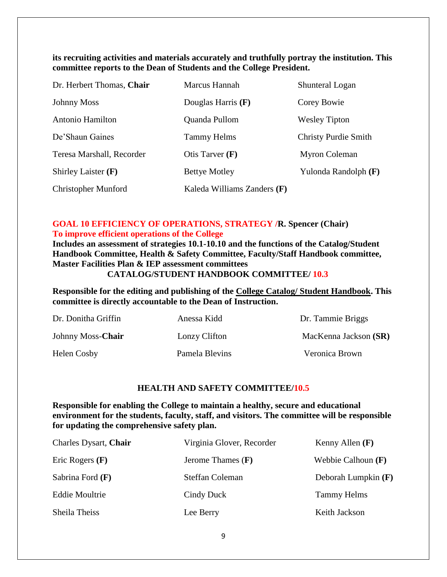# **its recruiting activities and materials accurately and truthfully portray the institution. This committee reports to the Dean of Students and the College President.**

| Dr. Herbert Thomas, Chair  | Marcus Hannah               | Shunteral Logan             |
|----------------------------|-----------------------------|-----------------------------|
| <b>Johnny Moss</b>         | Douglas Harris $(F)$        | Corey Bowie                 |
| Antonio Hamilton           | Quanda Pullom               | <b>Wesley Tipton</b>        |
| De'Shaun Gaines            | <b>Tammy Helms</b>          | <b>Christy Purdie Smith</b> |
| Teresa Marshall, Recorder  | Otis Tarver $(F)$           | Myron Coleman               |
| Shirley Laister $(F)$      | <b>Bettye Motley</b>        | Yulonda Randolph (F)        |
| <b>Christopher Munford</b> | Kaleda Williams Zanders (F) |                             |

# **GOAL 10 EFFICIENCY OF OPERATIONS, STRATEGY /R. Spencer (Chair) To improve efficient operations of the College**

**Includes an assessment of strategies 10.1-10.10 and the functions of the Catalog/Student Handbook Committee, Health & Safety Committee, Faculty/Staff Handbook committee, Master Facilities Plan & IEP assessment committees**

# **CATALOG/STUDENT HANDBOOK COMMITTEE/ 10.3**

**Responsible for the editing and publishing of the College Catalog/ Student Handbook. This committee is directly accountable to the Dean of Instruction.**

| Dr. Donitha Griffin | Anessa Kidd    | Dr. Tammie Briggs     |
|---------------------|----------------|-----------------------|
| Johnny Moss-Chair   | Lonzy Clifton  | MacKenna Jackson (SR) |
| <b>Helen Cosby</b>  | Pamela Blevins | Veronica Brown        |

# **HEALTH AND SAFETY COMMITTEE/10.5**

**Responsible for enabling the College to maintain a healthy, secure and educational environment for the students, faculty, staff, and visitors. The committee will be responsible for updating the comprehensive safety plan.**

| Charles Dysart, Chair | Virginia Glover, Recorder | Kenny Allen $(F)$     |
|-----------------------|---------------------------|-----------------------|
| Eric Rogers $(F)$     | Jerome Thames $(F)$       | Webbie Calhoun $(F)$  |
| Sabrina Ford $(F)$    | Steffan Coleman           | Deborah Lumpkin $(F)$ |
| <b>Eddie Moultrie</b> | Cindy Duck                | <b>Tammy Helms</b>    |
| Sheila Theiss         | Lee Berry                 | Keith Jackson         |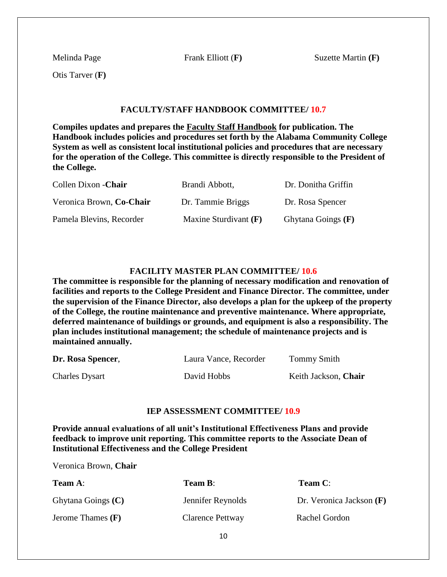Melinda Page Frank Elliott (**F)** Suzette Martin **(F)**

Otis Tarver (**F)**

#### **FACULTY/STAFF HANDBOOK COMMITTEE/ 10.7**

**Compiles updates and prepares the Faculty Staff Handbook for publication. The Handbook includes policies and procedures set forth by the Alabama Community College System as well as consistent local institutional policies and procedures that are necessary for the operation of the College. This committee is directly responsible to the President of the College.**

| Collen Dixon - Chair     | Brandi Abbott,          | Dr. Donitha Griffin  |
|--------------------------|-------------------------|----------------------|
| Veronica Brown, Co-Chair | Dr. Tammie Briggs       | Dr. Rosa Spencer     |
| Pamela Blevins, Recorder | Maxine Sturdivant $(F)$ | Ghytana Goings $(F)$ |

#### **FACILITY MASTER PLAN COMMITTEE/ 10.6**

**The committee is responsible for the planning of necessary modification and renovation of facilities and reports to the College President and Finance Director. The committee, under the supervision of the Finance Director, also develops a plan for the upkeep of the property of the College, the routine maintenance and preventive maintenance. Where appropriate, deferred maintenance of buildings or grounds, and equipment is also a responsibility. The plan includes institutional management; the schedule of maintenance projects and is maintained annually.**

| Dr. Rosa Spencer,     | Laura Vance, Recorder | Tommy Smith          |
|-----------------------|-----------------------|----------------------|
| <b>Charles Dysart</b> | David Hobbs           | Keith Jackson, Chair |

#### **IEP ASSESSMENT COMMITTEE/ 10.9**

**Provide annual evaluations of all unit's Institutional Effectiveness Plans and provide feedback to improve unit reporting. This committee reports to the Associate Dean of Institutional Effectiveness and the College President**

Veronica Brown, **Chair**

| <b>Team A:</b>      | Team B:           | <b>Team C:</b>             |
|---------------------|-------------------|----------------------------|
| Ghytana Goings (C)  | Jennifer Reynolds | Dr. Veronica Jackson $(F)$ |
| Jerome Thames $(F)$ | Clarence Pettway  | Rachel Gordon              |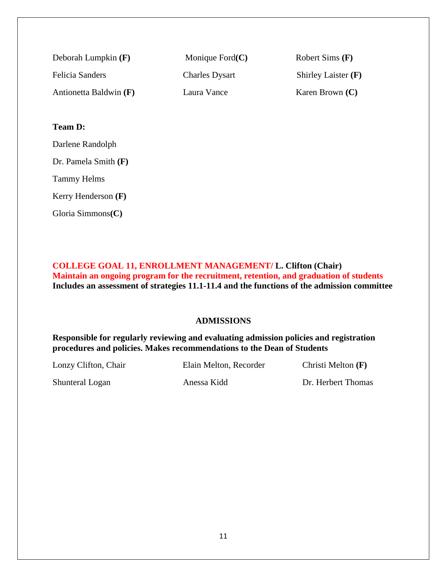| Deborah Lumpkin $(F)$  | Monique Ford $(C)$    | Robert Sims (F)       |
|------------------------|-----------------------|-----------------------|
| Felicia Sanders        | <b>Charles Dysart</b> | Shirley Laister $(F)$ |
| Antionetta Baldwin (F) | Laura Vance           | Karen Brown $(C)$     |

# **Team D:**

Darlene Randolph

Dr. Pamela Smith **(F)**

Tammy Helms

Kerry Henderson **(F)**

Gloria Simmons**(C)**

**COLLEGE GOAL 11, ENROLLMENT MANAGEMENT/ L. Clifton (Chair) Maintain an ongoing program for the recruitment, retention, and graduation of students Includes an assessment of strategies 11.1-11.4 and the functions of the admission committee**

# **ADMISSIONS**

**Responsible for regularly reviewing and evaluating admission policies and registration procedures and policies. Makes recommendations to the Dean of Students**

Lonzy Clifton, Chair Elain Melton, Recorder Christi Melton **(F)**

Shunteral Logan Anessa Kidd Dr. Herbert Thomas